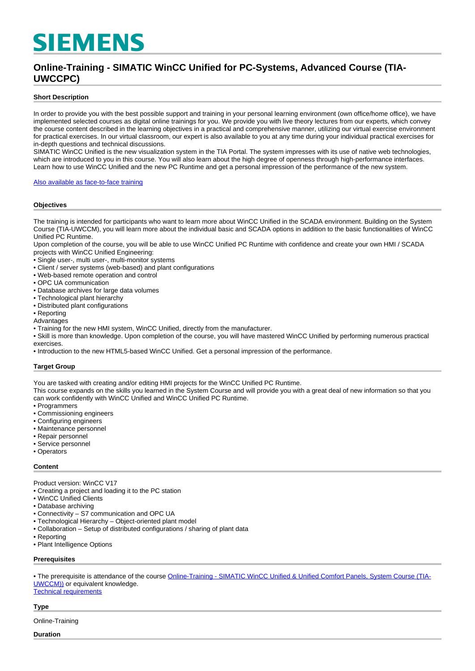# **SIEMENS**

## **Online-Training - SIMATIC WinCC Unified for PC-Systems, Advanced Course (TIA-UWCCPC)**

#### **Short Description**

In order to provide you with the best possible support and training in your personal learning environment (own office/home office), we have implemented selected courses as digital online trainings for you. We provide you with live theory lectures from our experts, which convey the course content described in the learning objectives in a practical and comprehensive manner, utilizing our virtual exercise environment for practical exercises. In our virtual classroom, our expert is also available to you at any time during your individual practical exercises for in-depth questions and technical discussions.

SIMATIC WinCC Unified is the new visualization system in the TIA Portal. The system impresses with its use of native web technologies, which are introduced to you in this course. You will also learn about the high degree of openness through high-performance interfaces. Learn how to use WinCC Unified and the new PC Runtime and get a personal impression of the performance of the new system.

[Also available as face-to-face training](https://www.sitrain-learning.siemens.com/DE/en/rw86403/)

#### **Objectives**

The training is intended for participants who want to learn more about WinCC Unified in the SCADA environment. Building on the System Course (TIA-UWCCM), you will learn more about the individual basic and SCADA options in addition to the basic functionalities of WinCC Unified PC Runtime.

Upon completion of the course, you will be able to use WinCC Unified PC Runtime with confidence and create your own HMI / SCADA projects with WinCC Unified Engineering:

- Single user-, multi user-, multi-monitor systems
- Client / server systems (web-based) and plant configurations
- Web-based remote operation and control
- OPC UA communication
- Database archives for large data volumes
- Technological plant hierarchy
- Distributed plant configurations
- Reporting
- Advantages

• Training for the new HMI system, WinCC Unified, directly from the manufacturer.

• Skill is more than knowledge. Upon completion of the course, you will have mastered WinCC Unified by performing numerous practical exercises.

• Introduction to the new HTML5-based WinCC Unified. Get a personal impression of the performance.

#### **Target Group**

You are tasked with creating and/or editing HMI projects for the WinCC Unified PC Runtime.

This course expands on the skills you learned in the System Course and will provide you with a great deal of new information so that you can work confidently with WinCC Unified and WinCC Unified PC Runtime.

- Programmers
- Commissioning engineers
- Configuring engineers
- Maintenance personnel
- Repair personnel
- Service personnel
- Operators

#### **Content**

Product version: WinCC V17

- Creating a project and loading it to the PC station
- WinCC Unified Clients
- Database archiving
- Connectivity S7 communication and OPC UA
- Technological Hierarchy Object-oriented plant model
- Collaboration Setup of distributed configurations / sharing of plant data
- Reporting
- Plant Intelligence Options

#### **Prerequisites**

• The prerequisite is attendance of the course [Online-Training - SIMATIC WinCC Unified & Unified Comfort Panels, System Course \(TIA-](https://www.sitrain-learning.siemens.com/DE/en/rw37832/Online-Training-SIMATIC-WinCC-Unified-Unified-Comfort-Panels)[UWCCM\)\)](https://www.sitrain-learning.siemens.com/DE/en/rw37832/Online-Training-SIMATIC-WinCC-Unified-Unified-Comfort-Panels) or equivalent knowledge.

[Technical requirements](https://www.sitrain-learning.siemens.com/DE/en/content/SITRAIN-training-online-FAQ/Technical-requirements-VE-Lab.do)

#### **Type**

Online-Training

**Duration**